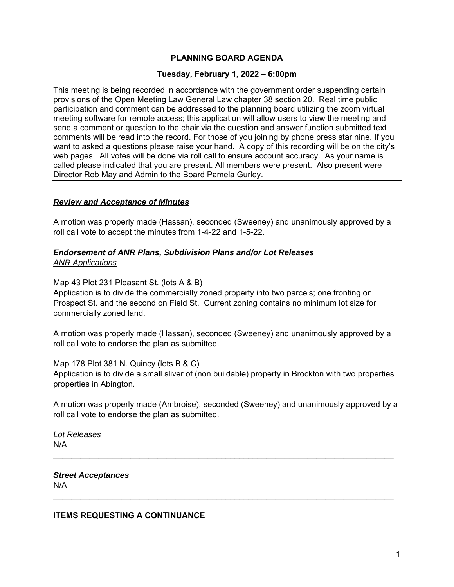# **PLANNING BOARD AGENDA**

#### **Tuesday, February 1, 2022 – 6:00pm**

This meeting is being recorded in accordance with the government order suspending certain provisions of the Open Meeting Law General Law chapter 38 section 20. Real time public participation and comment can be addressed to the planning board utilizing the zoom virtual meeting software for remote access; this application will allow users to view the meeting and send a comment or question to the chair via the question and answer function submitted text comments will be read into the record. For those of you joining by phone press star nine. If you want to asked a questions please raise your hand. A copy of this recording will be on the city's web pages. All votes will be done via roll call to ensure account accuracy. As your name is called please indicated that you are present. All members were present. Also present were Director Rob May and Admin to the Board Pamela Gurley.

## *Review and Acceptance of Minutes*

A motion was properly made (Hassan), seconded (Sweeney) and unanimously approved by a roll call vote to accept the minutes from 1-4-22 and 1-5-22.

## *Endorsement of ANR Plans, Subdivision Plans and/or Lot Releases ANR Applications*

Map 43 Plot 231 Pleasant St. (lots A & B)

Application is to divide the commercially zoned property into two parcels; one fronting on Prospect St. and the second on Field St. Current zoning contains no minimum lot size for commercially zoned land.

A motion was properly made (Hassan), seconded (Sweeney) and unanimously approved by a roll call vote to endorse the plan as submitted.

Map 178 Plot 381 N. Quincy (lots B & C) Application is to divide a small sliver of (non buildable) property in Brockton with two properties properties in Abington.

A motion was properly made (Ambroise), seconded (Sweeney) and unanimously approved by a roll call vote to endorse the plan as submitted.

 $\_$ 

\_\_\_\_\_\_\_\_\_\_\_\_\_\_\_\_\_\_\_\_\_\_\_\_\_\_\_\_\_\_\_\_\_\_\_\_\_\_\_\_\_\_\_\_\_\_\_\_\_\_\_\_\_\_\_\_\_\_\_\_\_\_\_\_\_\_\_\_\_\_\_\_\_\_\_

*Lot Releases*  N/A

*Street Acceptances*  N/A

#### **ITEMS REQUESTING A CONTINUANCE**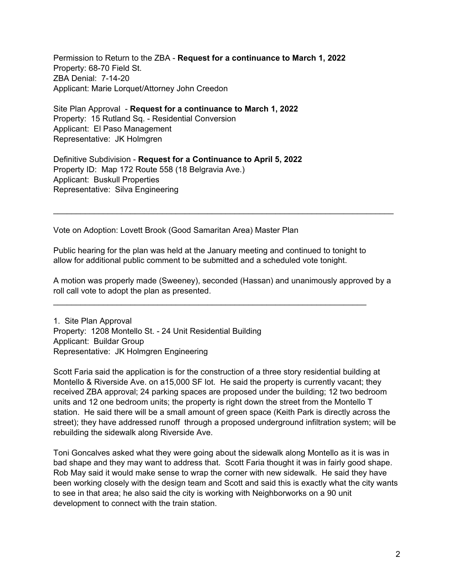Permission to Return to the ZBA - **Request for a continuance to March 1, 2022**  Property: 68-70 Field St. ZBA Denial: 7-14-20 Applicant: Marie Lorquet/Attorney John Creedon

Site Plan Approval - **Request for a continuance to March 1, 2022**  Property: 15 Rutland Sq. - Residential Conversion Applicant: El Paso Management Representative: JK Holmgren

Definitive Subdivision - **Request for a Continuance to April 5, 2022**  Property ID: Map 172 Route 558 (18 Belgravia Ave.) Applicant: Buskull Properties Representative: Silva Engineering

Vote on Adoption: Lovett Brook (Good Samaritan Area) Master Plan

Public hearing for the plan was held at the January meeting and continued to tonight to allow for additional public comment to be submitted and a scheduled vote tonight.

A motion was properly made (Sweeney), seconded (Hassan) and unanimously approved by a roll call vote to adopt the plan as presented.

 $\mathcal{L}_\text{max}$  and  $\mathcal{L}_\text{max}$  and  $\mathcal{L}_\text{max}$  and  $\mathcal{L}_\text{max}$  and  $\mathcal{L}_\text{max}$  and  $\mathcal{L}_\text{max}$ 

1. Site Plan Approval Property: 1208 Montello St. - 24 Unit Residential Building Applicant: Buildar Group Representative: JK Holmgren Engineering

Scott Faria said the application is for the construction of a three story residential building at Montello & Riverside Ave. on a15,000 SF lot. He said the property is currently vacant; they received ZBA approval; 24 parking spaces are proposed under the building; 12 two bedroom units and 12 one bedroom units; the property is right down the street from the Montello T station. He said there will be a small amount of green space (Keith Park is directly across the street); they have addressed runoff through a proposed underground infiltration system; will be rebuilding the sidewalk along Riverside Ave.

Toni Goncalves asked what they were going about the sidewalk along Montello as it is was in bad shape and they may want to address that. Scott Faria thought it was in fairly good shape. Rob May said it would make sense to wrap the corner with new sidewalk. He said they have been working closely with the design team and Scott and said this is exactly what the city wants to see in that area; he also said the city is working with Neighborworks on a 90 unit development to connect with the train station.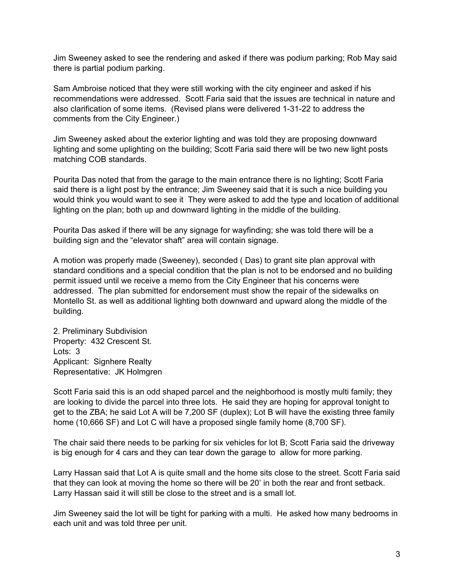Jim Sweeney asked to see the rendering and asked if there was podium parking; Rob May said there is partial podium parking.

Sam Ambroise noticed that they were still working with the city engineer and asked if his recommendations were addressed. Scott Faria said that the issues are technical in nature and also clarification of some items. (Revised plans were delivered 1-31-22 to address the comments from the City Engineer.)

Jim Sweeney asked about the exterior lighting and was told they are proposing downward lighting and some uplighting on the building; Scott Faria said there will be two new light posts matching COB standards.

Pourita Das noted that from the garage to the main entrance there is no lighting; Scott Faria said there is a light post by the entrance; Jim Sweeney said that it is such a nice building you would think you would want to see it They were asked to add the type and location of additional lighting on the plan; both up and downward lighting in the middle of the building.

Pourita Das asked if there will be any signage for wayfinding; she was told there will be a building sign and the "elevator shaft" area will contain signage.

A motion was properly made (Sweeney), seconded ( Das) to grant site plan approval with standard conditions and a special condition that the plan is not to be endorsed and no building permit issued until we receive a memo from the City Engineer that his concerns were addressed. The plan submitted for endorsement must show the repair of the sidewalks on Montello St. as well as additional lighting both downward and upward along the middle of the building.

2. Preliminary Subdivision Property: 432 Crescent St. Lots: 3 Applicant: Signhere Realty Representative: JK Holmgren

Scott Faria said this is an odd shaped parcel and the neighborhood is mostly multi family; they are looking to divide the parcel into three lots. He said they are hoping for approval tonight to get to the ZBA; he said Lot A will be 7,200 SF (duplex); Lot B will have the existing three family home (10,666 SF) and Lot C will have a proposed single family home (8,700 SF).

 is big enough for 4 cars and they can tear down the garage to allow for more parking. The chair said there needs to be parking for six vehicles for lot B; Scott Faria said the driveway

Larry Hassan said that Lot A is quite small and the home sits close to the street. Scott Faria said that they can look at moving the home so there will be 20' in both the rear and front setback. Larry Hassan said it will still be close to the street and is a small lot.

Jim Sweeney said the lot will be tight for parking with a multi. He asked how many bedrooms in each unit and was told three per unit.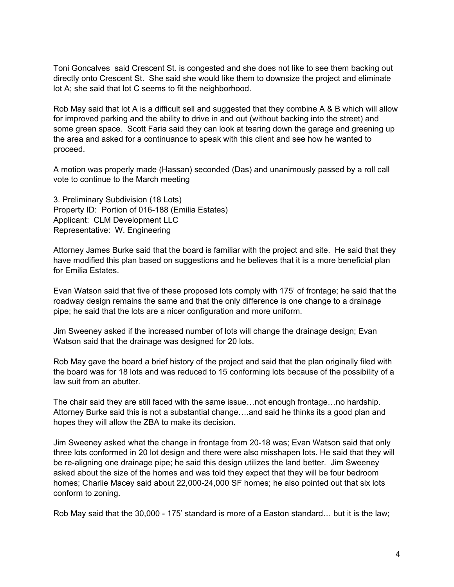Toni Goncalves said Crescent St. is congested and she does not like to see them backing out directly onto Crescent St. She said she would like them to downsize the project and eliminate lot A; she said that lot C seems to fit the neighborhood.

Rob May said that lot A is a difficult sell and suggested that they combine A & B which will allow for improved parking and the ability to drive in and out (without backing into the street) and some green space. Scott Faria said they can look at tearing down the garage and greening up the area and asked for a continuance to speak with this client and see how he wanted to proceed.

A motion was properly made (Hassan) seconded (Das) and unanimously passed by a roll call vote to continue to the March meeting

3. Preliminary Subdivision (18 Lots) Property ID: Portion of 016-188 (Emilia Estates) Applicant: CLM Development LLC Representative: W. Engineering

Attorney James Burke said that the board is familiar with the project and site. He said that they have modified this plan based on suggestions and he believes that it is a more beneficial plan for Emilia Estates.

Evan Watson said that five of these proposed lots comply with 175' of frontage; he said that the roadway design remains the same and that the only difference is one change to a drainage pipe; he said that the lots are a nicer configuration and more uniform.

Jim Sweeney asked if the increased number of lots will change the drainage design; Evan Watson said that the drainage was designed for 20 lots.

Rob May gave the board a brief history of the project and said that the plan originally filed with the board was for 18 lots and was reduced to 15 conforming lots because of the possibility of a law suit from an abutter.

The chair said they are still faced with the same issue…not enough frontage…no hardship. Attorney Burke said this is not a substantial change….and said he thinks its a good plan and hopes they will allow the ZBA to make its decision.

Jim Sweeney asked what the change in frontage from 20-18 was; Evan Watson said that only three lots conformed in 20 lot design and there were also misshapen lots. He said that they will be re-aligning one drainage pipe; he said this design utilizes the land better. Jim Sweeney asked about the size of the homes and was told they expect that they will be four bedroom homes; Charlie Macey said about 22,000-24,000 SF homes; he also pointed out that six lots conform to zoning.

Rob May said that the 30,000 - 175' standard is more of a Easton standard… but it is the law;